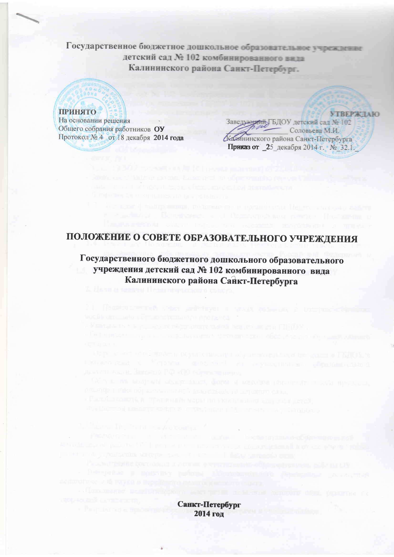Государственное бюджетное дошкольное образовательное учреждение детский сад № 102 комбинированного вида Калининского района Санкт-Петербург.

#### **ПРИНЯТО**

На основании решения Общего собрания работников ОУ Протокол № 4 от 18 декабря 2014 года

**VTREPWILM** Заведневий, ГБДОУ детский сад № 102 Соловьева М.И. Калининского района Санкт-Петербурга Приказ от 25 декабря 2014 г. № 32.1.

# ПОЛОЖЕНИЕ О СОВЕТЕ ОБРАЗОВАТЕЛЬНОГО УЧРЕЖДЕНИЯ

Государственного бюджетного дошкольного образовательного учреждения детский сад № 102 комбинированного вида Калининского района Санкт-Петербурга

> Санкт-Петербург 2014 год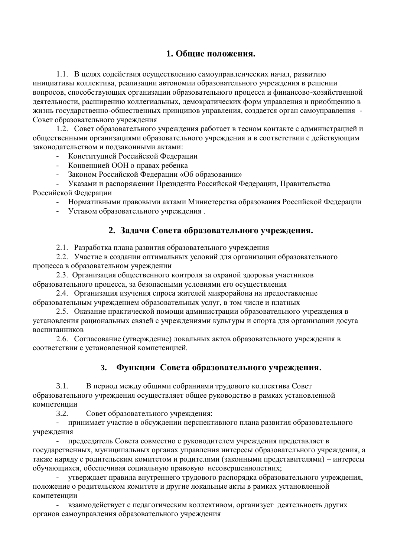## 1. Обшие положения.

1.1. В целях содействия осуществлению самоуправленческих начал, развитию инициативы коллектива, реализации автономии образовательного учреждения в решении вопросов, способствующих организации образовательного процесса и финансово-хозяйственной деятельности, расширению коллегиальных, демократических форм управления и приобщению в жизнь государственно-общественных принципов управления, создается орган самоуправления -Совет образовательного учреждения

1.2. Совет образовательного учреждения работает в тесном контакте с администрацией и общественными организациями образовательного учреждения и в соответствии с действующим законодательством и подзаконными актами:

- Конституцией Российской Федерации

- Конвенцией ООН о правах ребенка
- Законом Российской Федерации «Об образовании»

# - Указами и распоряжении Президента Российской Федерации, Правительства

Российской Федерации

- Нормативными правовыми актами Министерства образования Российской Федерации
- Уставом образовательного учреждения.

#### 2. Залачи Совета образовательного учреждения.

2.1. Разработка плана развития образовательного учреждения

2.2. Участие в создании оптимальных условий для организации образовательного процесса в образовательном учреждении

2.3. Организация общественного контроля за охраной здоровья участников образовательного процесса, за безопасными условиями его осуществления

2.4. Организация изучения спроса жителей микрорайона на предоставление образовательным учреждением образовательных услуг, в том числе и платных

2.5. Оказание практической помощи администрации образовательного учреждения в установления рациональных связей с учреждениями культуры и спорта для организации досуга воспитанников

2.6. Согласование (утверждение) локальных актов образовательного учреждения в соответствии с установленной компетенцией.

#### 3. Функции Совета образовательного учреждения.

3.1. В период между общими собраниями трудового коллектива Совет образовательного учреждения осуществляет общее руководство в рамках установленной компетеннии

3.2. Совет образовательного учреждения:

принимает участие в обсуждении перспективного плана развития образовательного учреждения

председатель Совета совместно с руководителем учреждения представляет в государственных, муниципальных органах управления интересы образовательного учреждения, а также наряду с родительским комитетом и родителями (законными представителями) – интересы обучающихся, обеспечивая социальную правовую несовершеннолетних;

утверждает правила внутреннего трудового распорядка образовательного учреждения, положение о родительском комитете и другие локальные акты в рамках установленной компетенции

взаимодействует с педагогическим коллективом, организует деятельность других органов самоуправления образовательного учреждения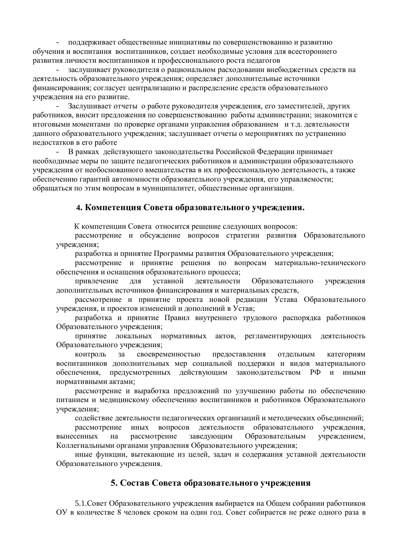поддерживает общественные инициативы по совершенствованию и развитию обучения и воспитания воспитанников, создает необходимые условия для всестороннего развития личности воспитанников и профессионального роста педагогов

заслушивает руководителя о рациональном расходовании внебюджетных средств на деятельность образовательного учреждения; определяет дополнительные источники финансирования; согласует централизацию и распределение средств образовательного учреждения на его развитие.

- Заслушивает отчеты о работе руководителя учреждения, его заместителей, других работников, вносит предложения по совершенствованию работы администрации; знакомится с итоговыми моментами по проверке органами управления образованием и т.д. деятельности данного образовательного учреждения; заслушивает отчеты о мероприятиях по устранению нелостатков в его работе

В рамках действующего законодательства Российской Федерации принимает необходимые меры по защите педагогических работников и администрации образовательного учреждения от необоснованного вмешательства в их профессиональную деятельность, а также обеспечению гарантий автономности образовательного учреждения, его управляемости; обращаться по этим вопросам в муниципалитет, общественные организации.

#### **4. Компетенция Совета образовательного учреждения.**

К компетенции Совета относится решение следующих вопросов:

рассмотрение и обсуждение вопросов стратегии развития Образовательного учреждения;

разработка и принятие Программы развития Образовательного учреждения;

рассмотрение и принятие решения по вопросам материально-технического обеспечения и оснашения образовательного процесса:

привлечение для уставной деятельности Образовательного учреждения дополнительных источников финансирования и материальных средств,

рассмотрение и принятие проекта новой редакции Устава Образовательного учреждения, и проектов изменений и дополнений в Устав;

разработка и принятие Правил внутреннего трудового распорядка работников Образовательного учреждения;

принятие локальных нормативных актов, регламентирующих деятельность Образовательного учреждения;

контроль за своевременностью предоставления отдельным категориям воспитанников дополнительных мер социальной поддержки и видов материального обеспечения, предусмотренных действующим законодательством РФ и иными нормативными актами:

рассмотрение и выработка предложений по улучшению работы по обеспечению питанием и медицинскому обеспечению воспитанников и работников Образовательного учреждения;

содействие деятельности педагогических организаций и методических объединений;

рассмотрение иных вопросов деятельности образовательного учреждения. вынесенных на рассмотрение заведующим Образовательным учреждением, Коллегиальными органами управления Образовательного учреждения:

иные функции, вытекающие из целей, задач и содержания уставной деятельности Образовательного учреждения.

#### 5. Состав Совета образовательного учреждения

5.1. Совет Образовательного учреждения выбирается на Общем собрании работников ОУ в количестве 8 человек сроком на один год. Совет собирается не реже одного раза в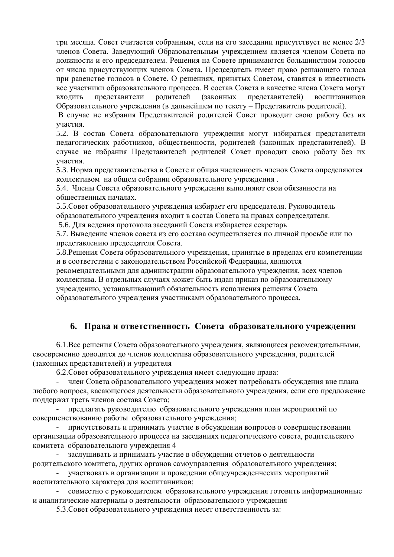три месяца. Совет считается собранным, если на его заседании присутствует не менее  $2/3$ членов Совета. Заведующий Образовательным учреждением является членом Совета по должности и его председателем. Решения на Совете принимаются большинством голосов от числа присутствующих членов Совета. Председатель имеет право решающего голоса при равенстве голосов в Совете. О решениях, принятых Советом, ставятся в известность все участники образовательного процесса. В состав Совета в качестве члена Совета могут входить представители родителей (законных представителей) воспитанников Образовательного учреждения (в дальнейшем по тексту – Представитель родителей).

В случае не избрания Представителей родителей Совет проводит свою работу без их участия.

5.2. В состав Совета образовательного учреждения могут избираться представители педагогических работников, общественности, родителей (законных представителей). В случае не избрания Представителей родителей Совет проводит свою работу без их участия.

5.3. Норма представительства в Совете и общая численность членов Совета определяются коллективом на общем собрании образовательного учреждения.

5.4. Члены Совета образовательного учреждения выполняют свои обязанности на обшественных началах.

5.5. Совет образовательного учреждения избирает его председателя. Руководитель образовательного учреждения входит в состав Совета на правах сопредседателя.

5.6. Для ведения протокола заседаний Совета избирается секретарь

5.7. Выведение членов совета из его состава осуществляется по личной просьбе или по представлению председателя Совета.

5.8. Решения Совета образовательного учреждения, принятые в пределах его компетенции и в соответствии с законодательством Российской Федерации, являются

рекомендательными для администрации образовательного учреждения, всех членов коллектива. В отдельных случаях может быть издан приказ по образовательному учреждению, устанавливающий обязательность исполнения решения Совета образовательного учреждения участниками образовательного процесса.

#### **6. Права и ответственность Совета образовательного учреждения**

6.1.Все решения Совета образовательного учреждения, являющиеся рекомендательными, своевременно доводятся до членов коллектива образовательного учреждения, родителей (законных представителей) и учредителя

6.2. Совет образовательного учреждения имеет следующие права:

член Совета образовательного учреждения может потребовать обсуждения вне плана любого вопроса, касающегося деятельности образовательного учреждения, если его предложение поддержат треть членов состава Совета;

предлагать руководителю образовательного учреждения план мероприятий по совершенствованию работы образовательного учреждения;

присутствовать и принимать участие в обсуждении вопросов о совершенствовании организации образовательного процесса на заседаниях педагогического совета, родительского комитета образовательного учреждения 4

заслушивать и принимать участие в обсуждении отчетов о деятельности родительского комитета, других органов самоуправления образовательного учреждения;

участвовать в организации и проведении общеучрежденческих мероприятий воспитательного характера для воспитанников;

совместно с руководителем образовательного учреждения готовить информационные и аналитические материалы о деятельности образовательного учреждения

5.3. Совет образовательного учреждения несет ответственность за: